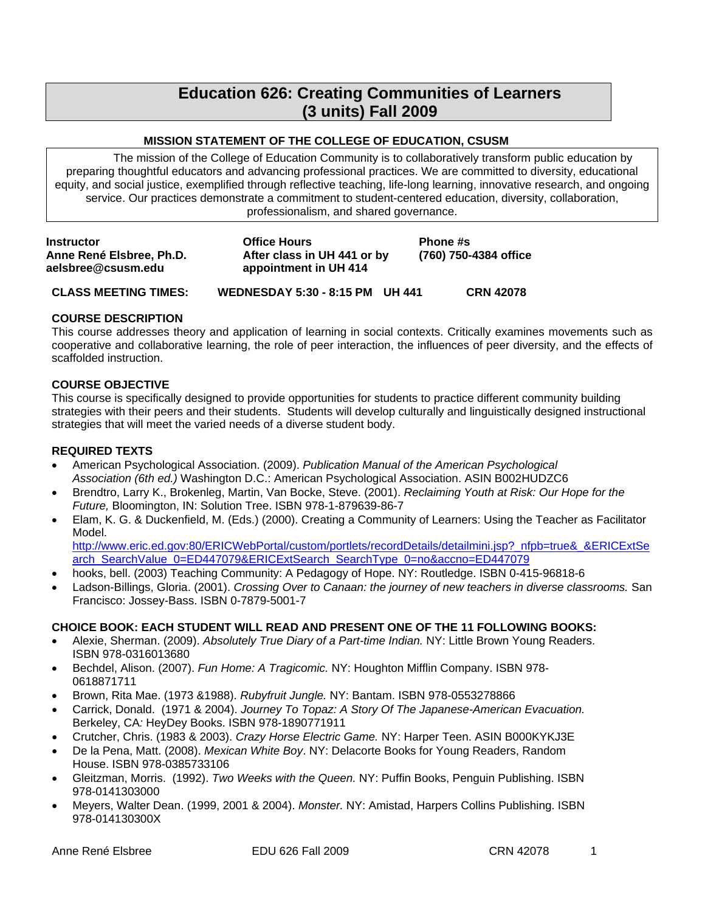# **Education 626: Creating Communities of Learners (3 units) Fall 2009**

# **MISSION STATEMENT OF THE COLLEGE OF EDUCATION, CSUSM**

<span id="page-0-0"></span>The mission of the College of Education Community is to collaboratively transform public education by preparing thoughtful educators and advancing professional practices. We are committed to diversity, educational equity, and social justice, exemplified through reflective teaching, life-long learning, innovative research, and ongoing service. Our practices demonstrate a commitment to student-centered education, diversity, collaboration, professionalism, and shared governance.

| <b>Instructor</b><br>Anne René Elsbree, Ph.D.<br>aelsbree@csusm.edu | <b>Office Hours</b><br>After class in UH 441 or by<br>appointment in UH 414 | <b>Phone #s</b><br>(760) 750-4384 office |
|---------------------------------------------------------------------|-----------------------------------------------------------------------------|------------------------------------------|
| <b>CLASS MEETING TIMES:</b>                                         | WEDNESDAY 5:30 - 8:15 PM UH 441                                             | <b>CRN 42078</b>                         |

### **COURSE DESCRIPTION**

This course addresses theory and application of learning in social contexts. Critically examines movements such as cooperative and collaborative learning, the role of peer interaction, the influences of peer diversity, and the effects of scaffolded instruction.

### **COURSE OBJECTIVE**

This course is specifically designed to provide opportunities for students to practice different community building strategies with their peers and their students. Students will develop culturally and linguistically designed instructional strategies that will meet the varied needs of a diverse student body.

# **REQUIRED TEXTS**

- American Psychological Association. (2009). *Publication Manual of the American Psychological Association (6th ed.)* Washington D.C.: American Psychological Association. ASIN B002HUDZC6
- Brendtro, Larry K., Brokenleg, Martin, Van Bocke, Steve. (2001). *Reclaiming Youth at Risk: Our Hope for the Future,* Bloomington, IN: Solution Tree. ISBN 978-1-879639-86-7
- Elam, K. G. & Duckenfield, M. (Eds.) (2000). Creating a Community of Learners: Using the Teacher as Facilitator Model.

http://www.eric.ed.gov:80/ERICWebPortal/custom/portlets/recordDetails/detailmini.jsp?\_nfpb=true&\_&ERICExtSe arch\_SearchValue\_0=ED447079&ERICExtSearch\_SearchType\_0=no&accno=ED447079

- hooks, bell. (2003) Teaching Community: A Pedagogy of Hope. NY: Routledge. ISBN 0-415-96818-6
- Ladson-Billings, Gloria. (2001). *Crossing Over to Canaan: the journey of new teachers in diverse classrooms.* San Francisco: Jossey-Bass. ISBN 0-7879-5001-7

# **CHOICE BOOK: EACH STUDENT WILL READ AND PRESENT ONE OF THE 11 FOLLOWING BOOKS:**

- Alexie, Sherman. (2009). *Absolutely True Diary of a Part-time Indian.* NY: Little Brown Young Readers. ISBN 978-0316013680
- Bechdel, Alison. (2007). *Fun Home: A Tragicomic.* NY: Houghton Mifflin Company. ISBN 978 0618871711
- Brown, Rita Mae. (1973 &1988). *Rubyfruit Jungle.* NY: Bantam. ISBN 978-0553278866
- Carrick, Donald. (1971 & 2004). *Journey To Topaz: A Story Of The Japanese-American Evacuation.*  Berkeley, CA*:* HeyDey Books. ISBN 978-1890771911
- Crutcher, Chris. (1983 & 2003). *Crazy Horse Electric Game.* NY: Harper Teen. ASIN B000KYKJ3E
- De la Pena, Matt. (2008). *Mexican White Boy*. NY: Delacorte Books for Young Readers, Random House. ISBN 978-0385733106
- Gleitzman, Morris. (1992). *Two Weeks with the Queen.* NY: Puffin Books, Penguin Publishing. ISBN 978-0141303000
- Meyers, Walter Dean. (1999, 2001 & 2004). *Monster.* NY: Amistad, Harpers Collins Publishing. ISBN 978-014130300X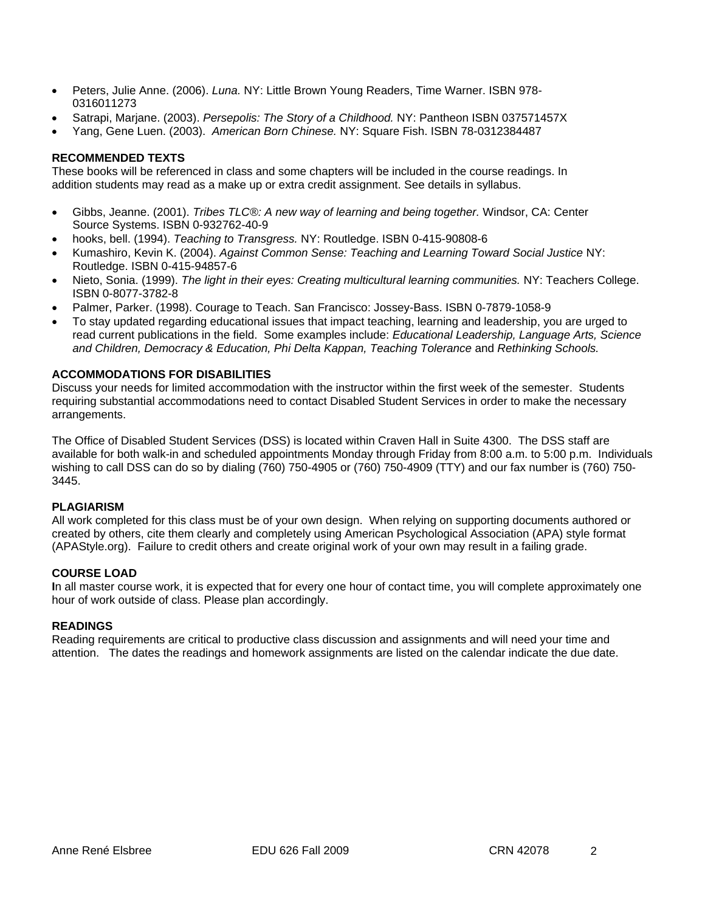- <span id="page-1-0"></span> Peters, Julie Anne. (2006). *Luna.* NY: Little Brown Young Readers, Time Warner. ISBN 978 0316011273
- Satrapi, Marjane. (2003). *Persepolis: The Story of a Childhood.* NY: Pantheon ISBN 037571457X
- Yang, Gene Luen. (2003). *American Born Chinese.* NY: Square Fish. ISBN 78-0312384487

# **RECOMMENDED TEXTS**

These books will be referenced in class and some chapters will be included in the course readings. In addition students may read as a make up or extra credit assignment. See details in syllabus.

- Gibbs, Jeanne. (2001). *Tribes TLC®: A new way of learning and being together.* Windsor, CA: Center Source Systems. ISBN 0-932762-40-9
- hooks, bell. (1994). *Teaching to Transgress.* NY: Routledge. ISBN 0-415-90808-6
- Kumashiro, Kevin K. (2004). *Against Common Sense: Teaching and Learning Toward Social Justice* NY: Routledge. ISBN 0-415-94857-6
- Nieto, Sonia. (1999). *The light in their eyes: Creating multicultural learning communities.* NY: Teachers College. ISBN 0-8077-3782-8
- Palmer, Parker. (1998). Courage to Teach. San Francisco: Jossey-Bass. ISBN 0-7879-1058-9
- To stay updated regarding educational issues that impact teaching, learning and leadership, you are urged to read current publications in the field. Some examples include: *Educational Leadership, Language Arts, Science and Children, Democracy & Education, Phi Delta Kappan, Teaching Tolerance* and *Rethinking Schools.*

# **ACCOMMODATIONS FOR DISABILITIES**

Discuss your needs for limited accommodation with the instructor within the first week of the semester. Students requiring substantial accommodations need to contact Disabled Student Services in order to make the necessary arrangements.

The Office of Disabled Student Services (DSS) is located within Craven Hall in Suite 4300. The DSS staff are available for both walk-in and scheduled appointments Monday through Friday from 8:00 a.m. to 5:00 p.m. Individuals wishing to call DSS can do so by dialing (760) 750-4905 or (760) 750-4909 (TTY) and our fax number is (760) 750 3445.

#### **PLAGIARISM**

All work completed for this class must be of your own design. When relying on supporting documents authored or created by others, cite them clearly and completely using American Psychological Association (APA) style format (APAStyle.org). Failure to credit others and create original work of your own may result in a failing grade.

# **COURSE LOAD**

**I**n all master course work, it is expected that for every one hour of contact time, you will complete approximately one hour of work outside of class. Please plan accordingly.

#### **READINGS**

Reading requirements are critical to productive class discussion and assignments and will need your time and attention. The dates the readings and homework assignments are listed on the calendar indicate the due date.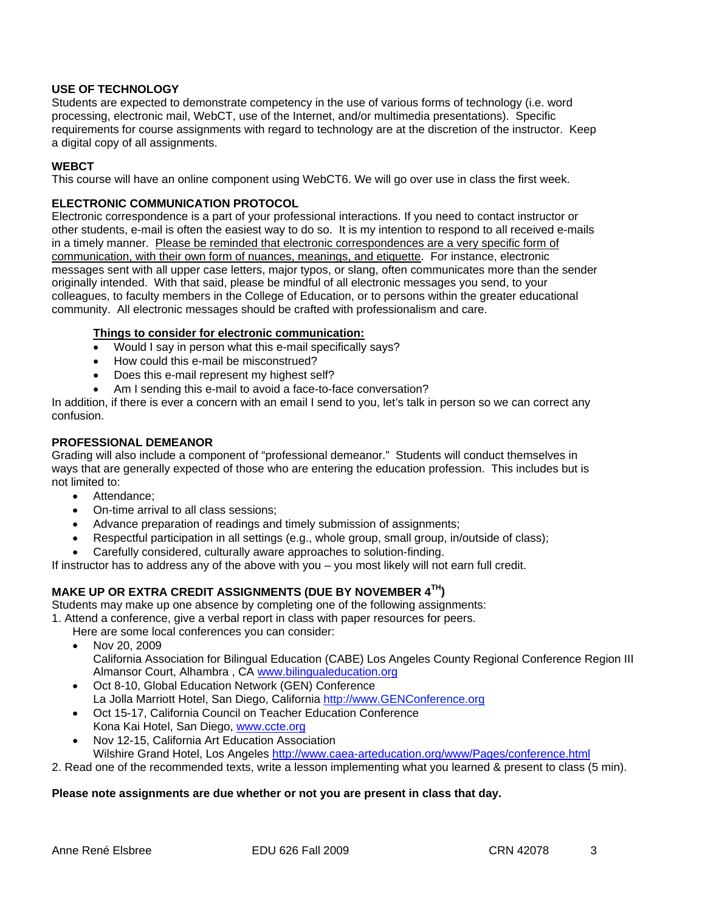## <span id="page-2-0"></span>**USE OF TECHNOLOGY**

Students are expected to demonstrate competency in the use of various forms of technology (i.e. word processing, electronic mail, WebCT, use of the Internet, and/or multimedia presentations). Specific requirements for course assignments with regard to technology are at the discretion of the instructor. Keep a digital copy of all assignments.

#### **WEBCT**

This course will have an online component using WebCT6. We will go over use in class the first week.

#### **ELECTRONIC COMMUNICATION PROTOCOL**

Electronic correspondence is a part of your professional interactions. If you need to contact instructor or other students, e-mail is often the easiest way to do so. It is my intention to respond to all received e-mails in a timely manner. Please be reminded that electronic correspondences are a very specific form of communication, with their own form of nuances, meanings, and etiquette. For instance, electronic messages sent with all upper case letters, major typos, or slang, often communicates more than the sender originally intended. With that said, please be mindful of all electronic messages you send, to your colleagues, to faculty members in the College of Education, or to persons within the greater educational community. All electronic messages should be crafted with professionalism and care.

### **Things to consider for electronic communication:**

- Would I say in person what this e-mail specifically says?
- How could this e-mail be misconstrued?
- Does this e-mail represent my highest self?
- Am I sending this e-mail to avoid a face-to-face conversation?

In addition, if there is ever a concern with an email I send to you, let's talk in person so we can correct any confusion.

#### **PROFESSIONAL DEMEANOR**

Grading will also include a component of "professional demeanor." Students will conduct themselves in ways that are generally expected of those who are entering the education profession. This includes but is not limited to:

- Attendance;
- On-time arrival to all class sessions;
- Advance preparation of readings and timely submission of assignments;
- Respectful participation in all settings (e.g., whole group, small group, in/outside of class);
- Carefully considered, culturally aware approaches to solution-finding.

If instructor has to address any of the above with you – you most likely will not earn full credit.

# **MAKE UP OR EXTRA CREDIT ASSIGNMENTS (DUE BY NOVEMBER 4TH)**

Students may make up one absence by completing one of the following assignments:

1. Attend a conference, give a verbal report in class with paper resources for peers.

Here are some local conferences you can consider:

- Nov 20, 2009 California Association for Bilingual Education (CABE) Los Angeles County Regional Conference Region III Almansor Court, Alhambra , CA www.bilingualeducation.org
- Oct 8-10, Global Education Network (GEN) Conference La Jolla Marriott Hotel, San Diego, California http://www.GENConference.org
- Oct 15-17, California Council on Teacher Education Conference Kona Kai Hotel, San Diego, www.ccte.org
- Wilshire Grand Hotel, Los Angeles http://www.caea-arteducation.org/www/Pages/conference.html Nov 12-15, California Art Education Association

2. Read one of the recommended texts, write a lesson implementing what you learned & present to class (5 min).

# **Please note assignments are due whether or not you are present in class that day.**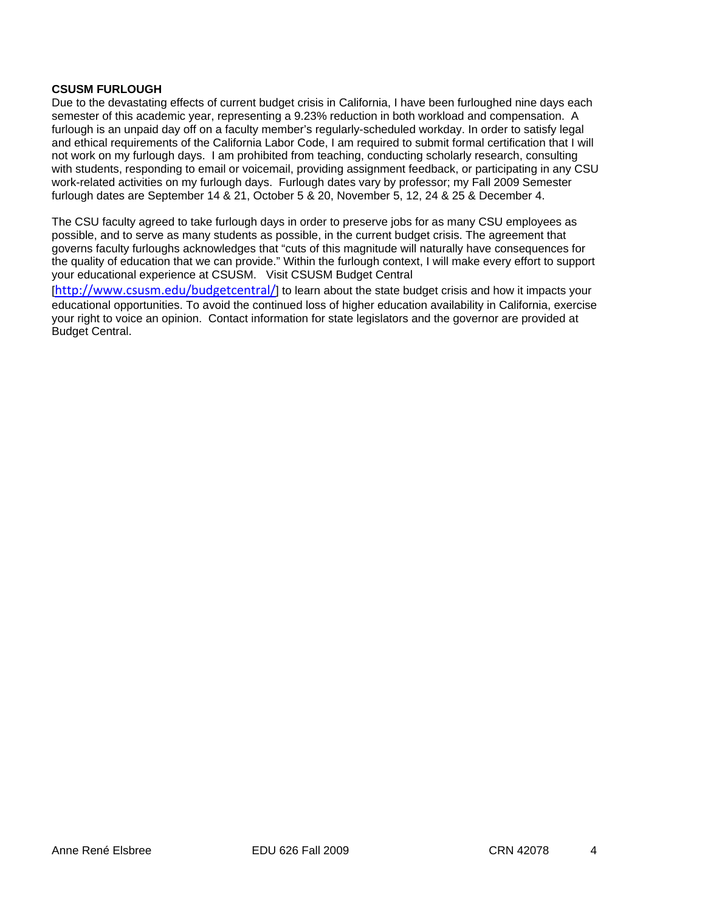#### **CSUSM FURLOUGH**

Due to the devastating effects of current budget crisis in California, I have been furloughed nine days each semester of this academic year, representing a 9.23% reduction in both workload and compensation. A furlough is an unpaid day off on a faculty member's regularly-scheduled workday. In order to satisfy legal and ethical requirements of the California Labor Code, I am required to submit formal certification that I will not work on my furlough days. I am prohibited from teaching, conducting scholarly research, consulting with students, responding to email or voicemail, providing assignment feedback, or participating in any CSU work-related activities on my furlough days. Furlough dates vary by professor; my Fall 2009 Semester furlough dates are September 14 & 21, October 5 & 20, November 5, 12, 24 & 25 & December 4.

The CSU faculty agreed to take furlough days in order to preserve jobs for as many CSU employees as possible, and to serve as many students as possible, in the current budget crisis. The agreement that governs faculty furloughs acknowledges that "cuts of this magnitude will naturally have consequences for the quality of education that we can provide." Within the furlough context, I will make every effort to support your educational experience at CSUSM. Visit CSUSM Budget Central

[http://www.csusm.edu/budgetcentral/] to learn about the state budget crisis and how it impacts your educational opportunities. To avoid the continued loss of higher education availability in California, exercise your right to voice an opinion. Contact information for state legislators and the governor are provided at Budget Central.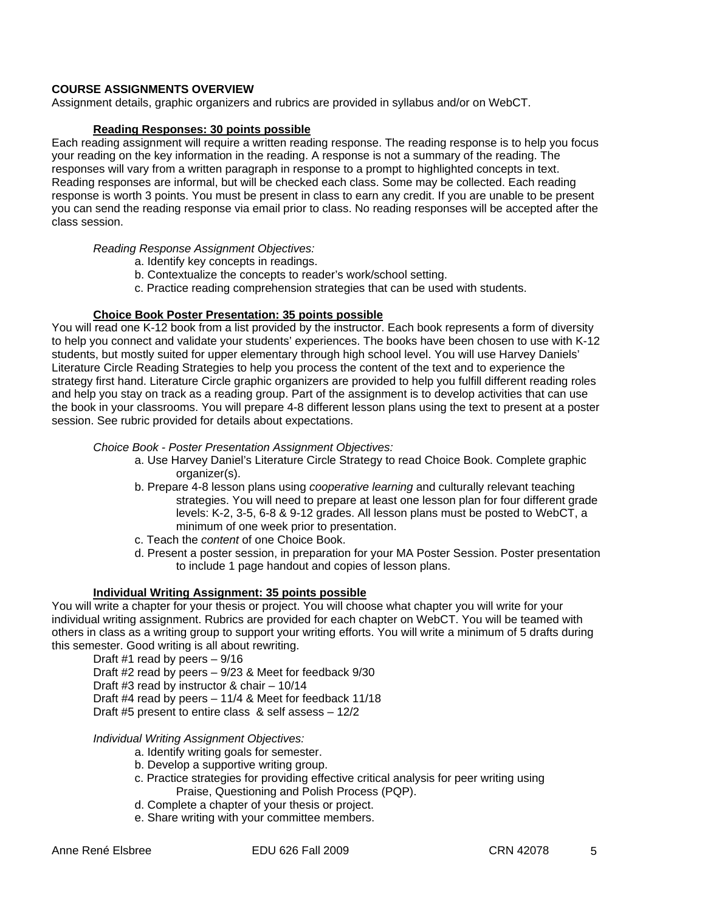# **COURSE ASSIGNMENTS OVERVIEW**

Assignment details, graphic organizers and rubrics are provided in syllabus and/or on WebCT.

#### **Reading Responses: 30 points possible**

 class session. Each reading assignment will require a written reading response. The reading response is to help you focus your reading on the key information in the reading. A response is not a summary of the reading. The responses will vary from a written paragraph in response to a prompt to highlighted concepts in text. Reading responses are informal, but will be checked each class. Some may be collected. Each reading response is worth 3 points. You must be present in class to earn any credit. If you are unable to be present you can send the reading response via email prior to class. No reading responses will be accepted after the

*Reading Response Assignment Objectives:* 

- a. Identify key concepts in readings.
- b. Contextualize the concepts to reader's work/school setting.
- c. Practice reading comprehension strategies that can be used with students.

#### **Choice Book Poster Presentation: 35 points possible**

You will read one K-12 book from a list provided by the instructor. Each book represents a form of diversity to help you connect and validate your students' experiences. The books have been chosen to use with K-12 students, but mostly suited for upper elementary through high school level. You will use Harvey Daniels' Literature Circle Reading Strategies to help you process the content of the text and to experience the strategy first hand. Literature Circle graphic organizers are provided to help you fulfill different reading roles and help you stay on track as a reading group. Part of the assignment is to develop activities that can use the book in your classrooms. You will prepare 4-8 different lesson plans using the text to present at a poster session. See rubric provided for details about expectations.

#### *Choice Book - Poster Presentation Assignment Objectives:*

- a. Use Harvey Daniel's Literature Circle Strategy to read Choice Book. Complete graphic organizer(s).
- b. Prepare 4-8 lesson plans using *cooperative learning* and culturally relevant teaching strategies. You will need to prepare at least one lesson plan for four different grade levels: K-2, 3-5, 6-8 & 9-12 grades. All lesson plans must be posted to WebCT, a minimum of one week prior to presentation.
- c. Teach the *content* of one Choice Book.
- to include 1 page handout and copies of lesson plans. d. Present a poster session, in preparation for your MA Poster Session. Poster presentation

#### **Individual Writing Assignment: 35 points possible**

You will write a chapter for your thesis or project. You will choose what chapter you will write for your individual writing assignment. Rubrics are provided for each chapter on WebCT. You will be teamed with others in class as a writing group to support your writing efforts. You will write a minimum of 5 drafts during this semester. Good writing is all about rewriting.

Draft #1 read by peers  $-9/16$ Draft #2 read by peers – 9/23 & Meet for feedback 9/30 Draft #3 read by instructor & chair – 10/14 Draft #4 read by peers – 11/4 & Meet for feedback 11/18 Draft #5 present to entire class & self assess – 12/2

#### *Individual Writing Assignment Objectives:*

- a. Identify writing goals for semester.
- b. Develop a supportive writing group.
- c. Practice strategies for providing effective critical analysis for peer writing using Praise, Questioning and Polish Process (PQP).
- d. Complete a chapter of your thesis or project.
- e. Share writing with your committee members.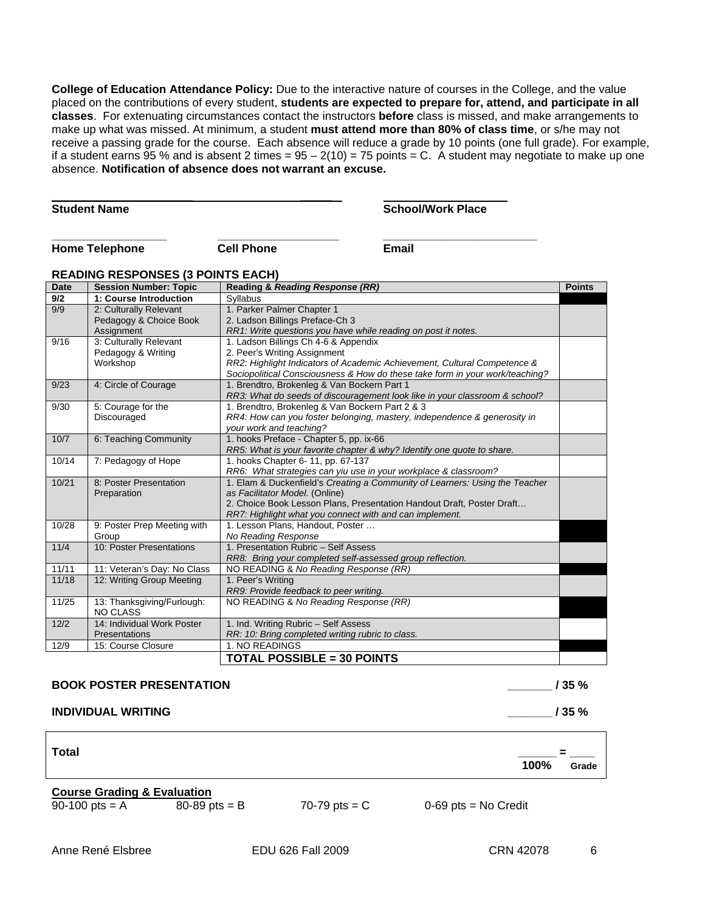**College of Education Attendance Policy:** Due to the interactive nature of courses in the College, and the value placed on the contributions of every student, **students are expected to prepare for, attend, and participate in all classes**. For extenuating circumstances contact the instructors **before** class is missed, and make arrangements to make up what was missed. At minimum, a student **must attend more than 80% of class time**, or s/he may not receive a passing grade for the course. Each absence will reduce a grade by 10 points (one full grade). For example, if a student earns 95 % and is absent 2 times =  $95 - 2(10) = 75$  points = C. A student may negotiate to make up one absence. **Notification of absence does not warrant an excuse.** 

**Student Name** 

**\_\_\_\_\_\_\_\_\_\_\_\_\_\_\_\_\_\_\_\_\_\_**

 **School/Work Place** 

**Home Telephone**

**\_\_\_\_\_\_\_\_\_\_\_\_\_\_\_\_\_\_**

 **Cell Phone**

 **\_\_\_\_\_\_\_\_\_\_\_**

 **\_\_\_\_\_** 

**\_\_\_\_\_\_\_\_ \_\_\_\_\_\_\_\_\_\_\_\_\_\_\_\_\_\_\_\_\_\_\_\_ Email** 

# **READING RESPONSES (3 POINTS EACH)**

| <b>Date</b> | <b>Session Number: Topic</b> | Reading & Reading Response (RR)                                              | <b>Points</b> |
|-------------|------------------------------|------------------------------------------------------------------------------|---------------|
| 9/2         | 1: Course Introduction       | <b>Syllabus</b>                                                              |               |
| 9/9         | 2: Culturally Relevant       | 1. Parker Palmer Chapter 1                                                   |               |
|             | Pedagogy & Choice Book       | 2. Ladson Billings Preface-Ch 3                                              |               |
|             | Assignment                   | RR1: Write questions you have while reading on post it notes.                |               |
| 9/16        | 3: Culturally Relevant       | 1. Ladson Billings Ch 4-6 & Appendix                                         |               |
|             | Pedagogy & Writing           | 2. Peer's Writing Assignment                                                 |               |
|             | Workshop                     | RR2: Highlight Indicators of Academic Achievement, Cultural Competence &     |               |
|             |                              | Sociopolitical Consciousness & How do these take form in your work/teaching? |               |
| 9/23        | 4: Circle of Courage         | 1. Brendtro, Brokenleg & Van Bockern Part 1                                  |               |
|             |                              | RR3: What do seeds of discouragement look like in your classroom & school?   |               |
| 9/30        | 5: Courage for the           | 1. Brendtro, Brokenleg & Van Bockern Part 2 & 3                              |               |
|             | Discouraged                  | RR4: How can you foster belonging, mastery, independence & generosity in     |               |
|             |                              | your work and teaching?                                                      |               |
| 10/7        | 6: Teaching Community        | 1. hooks Preface - Chapter 5, pp. ix-66                                      |               |
|             |                              | RR5: What is your favorite chapter & why? Identify one quote to share.       |               |
| 10/14       | 7: Pedagogy of Hope          | 1. hooks Chapter 6-11, pp. 67-137                                            |               |
|             |                              | RR6: What strategies can yiu use in your workplace & classroom?              |               |
| 10/21       | 8: Poster Presentation       | 1. Elam & Duckenfield's Creating a Community of Learners: Using the Teacher  |               |
|             | Preparation                  | as Facilitator Model. (Online)                                               |               |
|             |                              | 2. Choice Book Lesson Plans, Presentation Handout Draft, Poster Draft        |               |
|             |                              | RR7: Highlight what you connect with and can implement.                      |               |
| 10/28       | 9: Poster Prep Meeting with  | 1. Lesson Plans, Handout, Poster                                             |               |
|             | Group                        | No Reading Response                                                          |               |
| 11/4        | 10: Poster Presentations     | 1. Presentation Rubric - Self Assess                                         |               |
|             |                              | RR8: Bring your completed self-assessed group reflection.                    |               |
| 11/11       | 11: Veteran's Day: No Class  | NO READING & No Reading Response (RR)                                        |               |
| 11/18       | 12: Writing Group Meeting    | 1. Peer's Writing                                                            |               |
|             |                              | RR9: Provide feedback to peer writing.                                       |               |
| 11/25       | 13: Thanksgiving/Furlough:   | NO READING & No Reading Response (RR)                                        |               |
|             | <b>NO CLASS</b>              |                                                                              |               |
| 12/2        | 14: Individual Work Poster   | 1. Ind. Writing Rubric - Self Assess                                         |               |
|             | Presentations                | RR: 10: Bring completed writing rubric to class.                             |               |
| 12/9        | 15: Course Closure           | 1. NO READINGS                                                               |               |
|             |                              | <b>TOTAL POSSIBLE = 30 POINTS</b>                                            |               |

#### **BOOK POSTER PRESENTATION**

# **INDIVIDUAL WRITING**

**Total** 

 **\_\_\_\_\_\_ = \_\_\_\_** 

**\_\_\_\_\_\_\_ / 35 %** 

**100% Grade** 

# **Course Grading & Evaluation**

 $90-100$  pts = A

 $80 - 89$  pts = B

$$
70-79 \,\mathrm{pts} = C
$$

0-69 pts = No Credit

 **\_\_\_\_\_\_\_ / 35 %**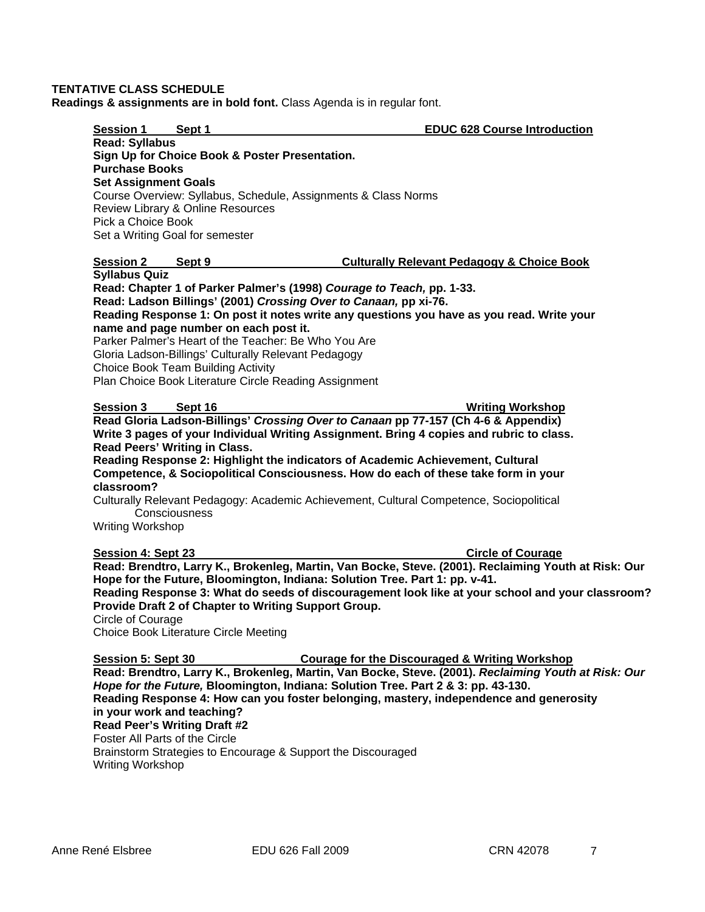## <span id="page-6-0"></span>**TENTATIVE CLASS SCHEDULE**

**Readings & assignments are in bold font.** Class Agenda is in regular font.

| <b>Session 1</b>                                                                | Sept 1                                                                                                                                                                                                                                                                                                                          | <b>EDUC 628 Course Introduction</b>                                                                                                                                                                                                                                                                                                                                                                                                               |
|---------------------------------------------------------------------------------|---------------------------------------------------------------------------------------------------------------------------------------------------------------------------------------------------------------------------------------------------------------------------------------------------------------------------------|---------------------------------------------------------------------------------------------------------------------------------------------------------------------------------------------------------------------------------------------------------------------------------------------------------------------------------------------------------------------------------------------------------------------------------------------------|
| <b>Read: Syllabus</b><br><b>Purchase Books</b>                                  | Sign Up for Choice Book & Poster Presentation.                                                                                                                                                                                                                                                                                  |                                                                                                                                                                                                                                                                                                                                                                                                                                                   |
| <b>Set Assignment Goals</b><br>Pick a Choice Book                               | Course Overview: Syllabus, Schedule, Assignments & Class Norms<br>Review Library & Online Resources<br>Set a Writing Goal for semester                                                                                                                                                                                          |                                                                                                                                                                                                                                                                                                                                                                                                                                                   |
| <b>Session 2</b>                                                                | Sept 9                                                                                                                                                                                                                                                                                                                          | <b>Culturally Relevant Pedagogy &amp; Choice Book</b>                                                                                                                                                                                                                                                                                                                                                                                             |
| <b>Syllabus Quiz</b>                                                            | Read: Ladson Billings' (2001) Crossing Over to Canaan, pp xi-76.<br>name and page number on each post it.<br>Parker Palmer's Heart of the Teacher: Be Who You Are<br>Gloria Ladson-Billings' Culturally Relevant Pedagogy<br><b>Choice Book Team Building Activity</b><br>Plan Choice Book Literature Circle Reading Assignment | Read: Chapter 1 of Parker Palmer's (1998) Courage to Teach, pp. 1-33.<br>Reading Response 1: On post it notes write any questions you have as you read. Write your                                                                                                                                                                                                                                                                                |
| <b>Session 3</b>                                                                | Sept 16                                                                                                                                                                                                                                                                                                                         | <b>Writing Workshop</b>                                                                                                                                                                                                                                                                                                                                                                                                                           |
| classroom?<br><b>Writing Workshop</b>                                           | Read Peers' Writing in Class.<br>Consciousness                                                                                                                                                                                                                                                                                  | Read Gloria Ladson-Billings' Crossing Over to Canaan pp 77-157 (Ch 4-6 & Appendix)<br>Write 3 pages of your Individual Writing Assignment. Bring 4 copies and rubric to class.<br>Reading Response 2: Highlight the indicators of Academic Achievement, Cultural<br>Competence, & Sociopolitical Consciousness. How do each of these take form in your<br>Culturally Relevant Pedagogy: Academic Achievement, Cultural Competence, Sociopolitical |
| Session 4: Sept 23<br>Circle of Courage                                         | Provide Draft 2 of Chapter to Writing Support Group.<br><b>Choice Book Literature Circle Meeting</b>                                                                                                                                                                                                                            | <b>Circle of Courage</b><br>Read: Brendtro, Larry K., Brokenleg, Martin, Van Bocke, Steve. (2001). Reclaiming Youth at Risk: Our<br>Hope for the Future, Bloomington, Indiana: Solution Tree. Part 1: pp. v-41.<br>Reading Response 3: What do seeds of discouragement look like at your school and your classroom?                                                                                                                               |
| Session 5: Sept 30<br>Foster All Parts of the Circle<br><b>Writing Workshop</b> | in your work and teaching?<br>Read Peer's Writing Draft #2<br>Brainstorm Strategies to Encourage & Support the Discouraged                                                                                                                                                                                                      | <b>Courage for the Discouraged &amp; Writing Workshop</b><br>Read: Brendtro, Larry K., Brokenleg, Martin, Van Bocke, Steve. (2001). Reclaiming Youth at Risk: Our<br>Hope for the Future, Bloomington, Indiana: Solution Tree. Part 2 & 3: pp. 43-130.<br>Reading Response 4: How can you foster belonging, mastery, independence and generosity                                                                                                  |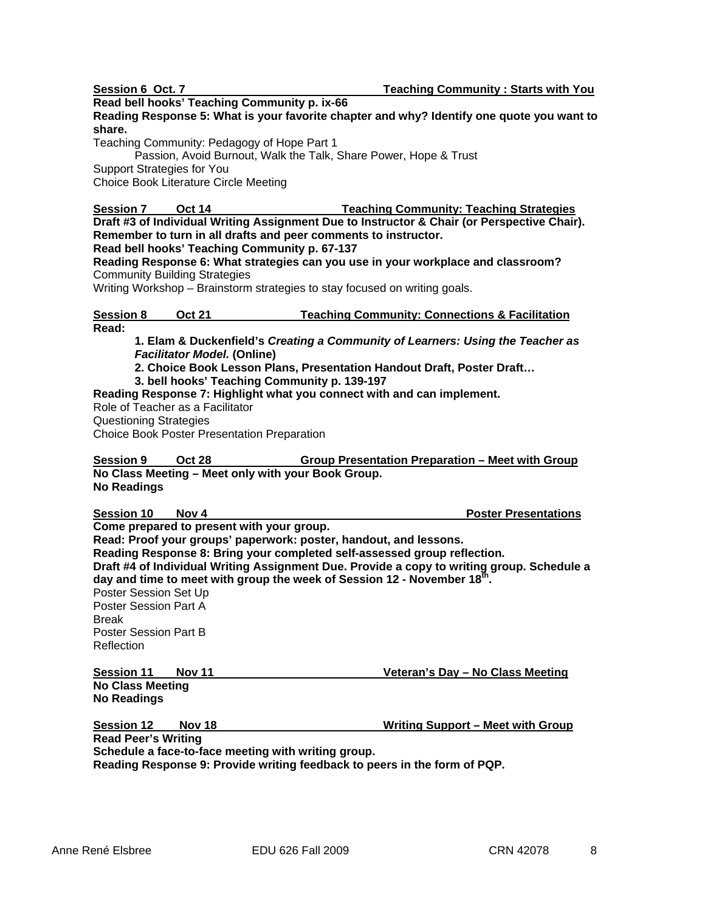**Read bell hooks' Teaching Community p. ix-66** 

**Reading Response 5: What is your favorite chapter and why? Identify one quote you want to share.** 

Teaching Community: Pedagogy of Hope Part 1

Passion, Avoid Burnout, Walk the Talk, Share Power, Hope & Trust

Support Strategies for You

Choice Book Literature Circle Meeting

**Oct 14 Session 7 Oct 14 Teaching Community: Teaching Strategies**

**Draft #3 of Individual Writing Assignment Due to Instructor & Chair (or Perspective Chair). Remember to turn in all drafts and peer comments to instructor.** 

 **Read bell hooks' Teaching Community p. 67-137 Reading Response 6: What strategies can you use in your workplace and classroom?**

Community Building Strategies

Writing Workshop – Brainstorm strategies to stay focused on writing goals.

**Oct 21 Session 8 Oct 21 Teaching Community: Connections & Facilitation Read:** 

**1. Elam & Duckenfield's** *Creating a Community of Learners: Using the Teacher as Facilitator Model.* **(Online)** 

**2. Choice Book Lesson Plans, Presentation Handout Draft, Poster Draft…** 

**3. bell hooks' Teaching Community p. 139-197** 

**Reading Response 7: Highlight what you connect with and can implement.** 

Role of Teacher as a Facilitator

Questioning Strategies

Choice Book Poster Presentation Preparation

**Oct 28 No Class Meeting – Meet only with your Book Group. Session 9 Oct 28 Group Presentation Preparation – Meet with Group No Readings** 

**Session 10** 

**Session 10 Nov 4 Poster Presentations Poster Presentations** 

**Come prepared to present with your group. Read: Proof your groups' paperwork: poster, handout, and lessons. Reading Response 8: Bring your completed self-assessed group reflection. Draft #4 of Individual Writing Assignment Due. Provide a copy to writing group. Schedule a day and time to meet with group the week of Session 12 - November 18th.**  Poster Session Set Up Poster Session Part A Break Poster Session Part B Reflection

**Session 11** Nov 11 **Nov 11** Veteran's Day – No Class Meeting **No Class Meeting No Readings**

**Session 12 Nov 18 Writing Support – Meet with Group**

 **Read Peer's Writing Schedule a face-to-face meeting with writing group. Reading Response 9: Provide writing feedback to peers in the form of PQP.**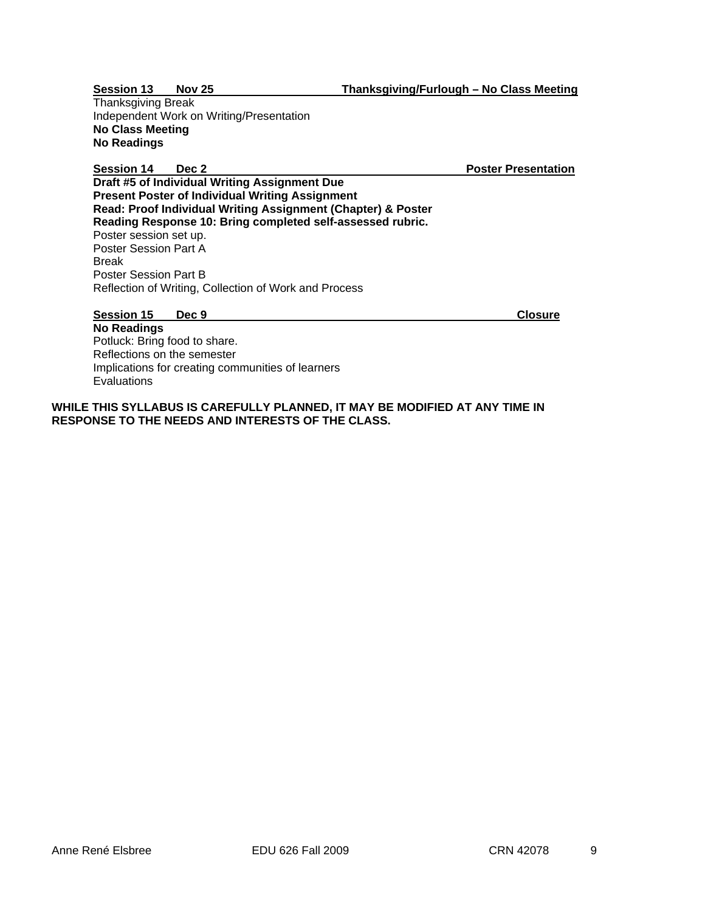Session 13 Nov 25

Thanksgiving Break Independent Work on Writing/Presentation **No Class Meeting No Readings** 

**Session 14** 

**Sec 2 Poster Presentation Poster Presentation** 

**Draft #5 of Individual Writing Assignment Due Present Poster of Individual Writing Assignment Read: Proof Individual Writing Assignment (Chapter) & Poster Reading Response 10: Bring completed self-assessed rubric.**  Poster session set up. Poster Session Part A Break Poster Session Part B Reflection of Writing, Collection of Work and Process

 **Session 15 Dec 9 Closure** 

**No Readings**  Potluck: Bring food to share. Reflections on the semester Implications for creating communities of learners **Evaluations** 

**WHILE THIS SYLLABUS IS CAREFULLY PLANNED, IT MAY BE MODIFIED AT ANY TIME IN RESPONSE TO THE NEEDS AND INTERESTS OF THE CLASS.**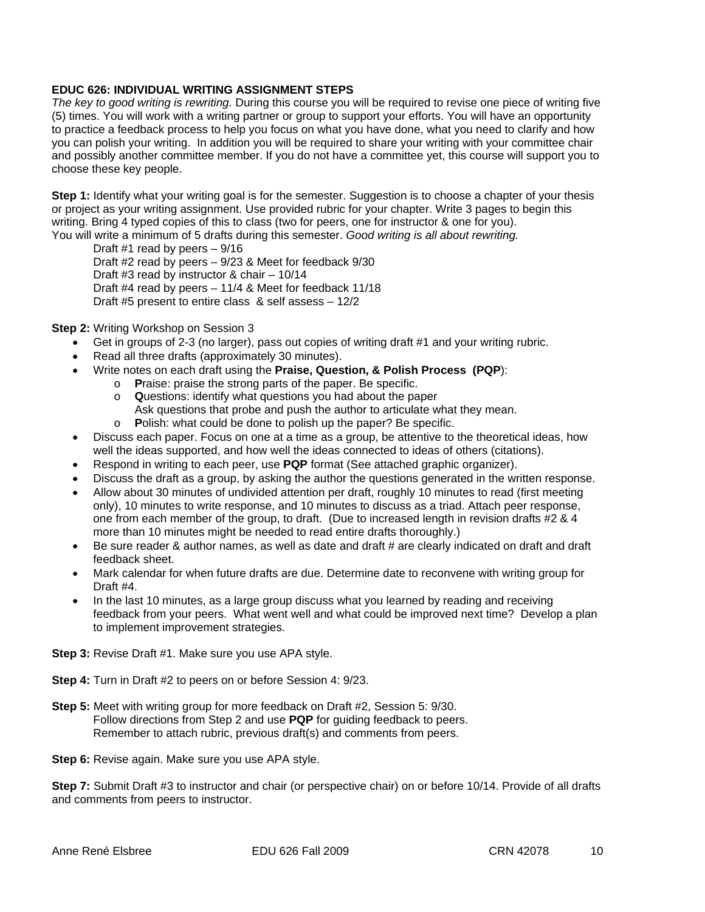## **EDUC 626: INDIVIDUAL WRITING ASSIGNMENT STEPS**

*The key to good writing is rewriting.* During this course you will be required to revise one piece of writing five (5) times. You will work with a writing partner or group to support your efforts. You will have an opportunity to practice a feedback process to help you focus on what you have done, what you need to clarify and how you can polish your writing. In addition you will be required to share your writing with your committee chair and possibly another committee member. If you do not have a committee yet, this course will support you to choose these key people.

**Step 1:** Identify what your writing goal is for the semester. Suggestion is to choose a chapter of your thesis or project as your writing assignment. Use provided rubric for your chapter. Write 3 pages to begin this writing. Bring 4 typed copies of this to class (two for peers, one for instructor & one for you). You will write a minimum of 5 drafts during this semester. *Good writing is all about rewriting.*

Draft #1 read by peers – 9/16 Draft #2 read by peers – 9/23 & Meet for feedback 9/30 Draft #3 read by instructor & chair – 10/14 Draft #4 read by peers – 11/4 & Meet for feedback 11/18 Draft #5 present to entire class & self assess – 12/2

**Step 2:** Writing Workshop on Session 3

- Get in groups of 2-3 (no larger), pass out copies of writing draft #1 and your writing rubric.
- Read all three drafts (approximately 30 minutes).
- Write notes on each draft using the **Praise, Question, & Polish Process (PQP**):
	- o **P**raise: praise the strong parts of the paper. Be specific.
	- o **Q**uestions: identify what questions you had about the paper Ask questions that probe and push the author to articulate what they mean.
	- o **P**olish: what could be done to polish up the paper? Be specific.
- Discuss each paper. Focus on one at a time as a group, be attentive to the theoretical ideas, how well the ideas supported, and how well the ideas connected to ideas of others (citations).
- Respond in writing to each peer, use **PQP** format (See attached graphic organizer).
- Discuss the draft as a group, by asking the author the questions generated in the written response.
- Allow about 30 minutes of undivided attention per draft, roughly 10 minutes to read (first meeting only), 10 minutes to write response, and 10 minutes to discuss as a triad. Attach peer response, one from each member of the group, to draft. (Due to increased length in revision drafts #2 & 4 more than 10 minutes might be needed to read entire drafts thoroughly.)
- Be sure reader & author names, as well as date and draft # are clearly indicated on draft and draft feedback sheet.
- Mark calendar for when future drafts are due. Determine date to reconvene with writing group for Draft #4.
- In the last 10 minutes, as a large group discuss what you learned by reading and receiving feedback from your peers. What went well and what could be improved next time? Develop a plan to implement improvement strategies.

**Step 3:** Revise Draft #1. Make sure you use APA style.

**Step 4:** Turn in Draft #2 to peers on or before Session 4: 9/23.

- **Step 5:** Meet with writing group for more feedback on Draft #2, Session 5: 9/30. Follow directions from Step 2 and use **PQP** for guiding feedback to peers. Remember to attach rubric, previous draft(s) and comments from peers.
- **Step 6:** Revise again. Make sure you use APA style.

**Step 7:** Submit Draft #3 to instructor and chair (or perspective chair) on or before 10/14. Provide of all drafts and comments from peers to instructor.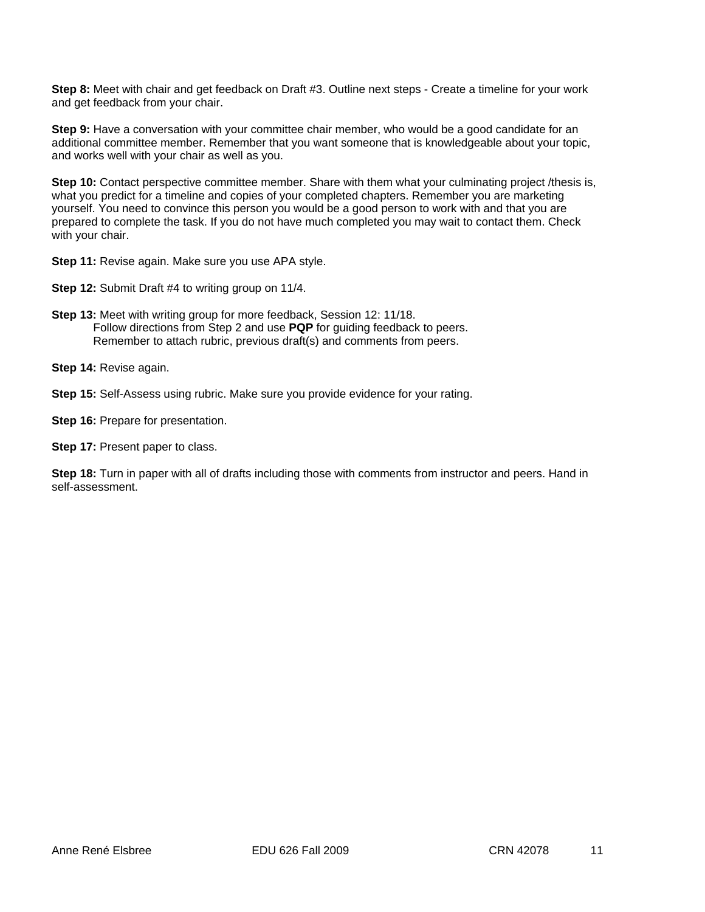**Step 8:** Meet with chair and get feedback on Draft #3. Outline next steps - Create a timeline for your work and get feedback from your chair.

**Step 9:** Have a conversation with your committee chair member, who would be a good candidate for an additional committee member. Remember that you want someone that is knowledgeable about your topic, and works well with your chair as well as you.

**Step 10:** Contact perspective committee member. Share with them what your culminating project /thesis is, what you predict for a timeline and copies of your completed chapters. Remember you are marketing yourself. You need to convince this person you would be a good person to work with and that you are prepared to complete the task. If you do not have much completed you may wait to contact them. Check with your chair.

**Step 11:** Revise again. Make sure you use APA style.

**Step 12:** Submit Draft #4 to writing group on 11/4.

**Step 13:** Meet with writing group for more feedback, Session 12: 11/18. Follow directions from Step 2 and use **PQP** for guiding feedback to peers. Remember to attach rubric, previous draft(s) and comments from peers.

**Step 14:** Revise again.

**Step 15:** Self-Assess using rubric. Make sure you provide evidence for your rating.

**Step 16:** Prepare for presentation.

**Step 17: Present paper to class.** 

**Step 18:** Turn in paper with all of drafts including those with comments from instructor and peers. Hand in self-assessment.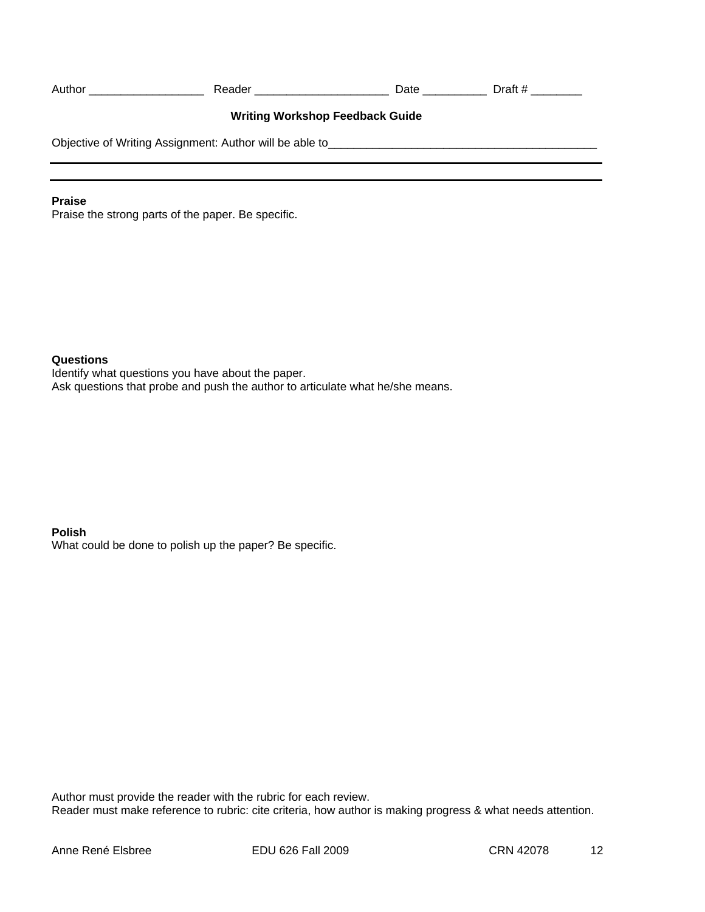| Author                                                                                          | Reader ___________________ | Date | Draft $\#$ |  |
|-------------------------------------------------------------------------------------------------|----------------------------|------|------------|--|
| <b>Writing Workshop Feedback Guide</b>                                                          |                            |      |            |  |
| Objective of Writing Assignment: Author will be able to <b>Commission Commission</b> Commission |                            |      |            |  |
|                                                                                                 |                            |      |            |  |

# **Praise**

Praise the strong parts of the paper. Be specific.

# **Questions**

Identify what questions you have about the paper. Ask questions that probe and push the author to articulate what he/she means.

# **Polish**

What could be done to polish up the paper? Be specific.

Author must provide the reader with the rubric for each review. Reader must make reference to rubric: cite criteria, how author is making progress & what needs attention.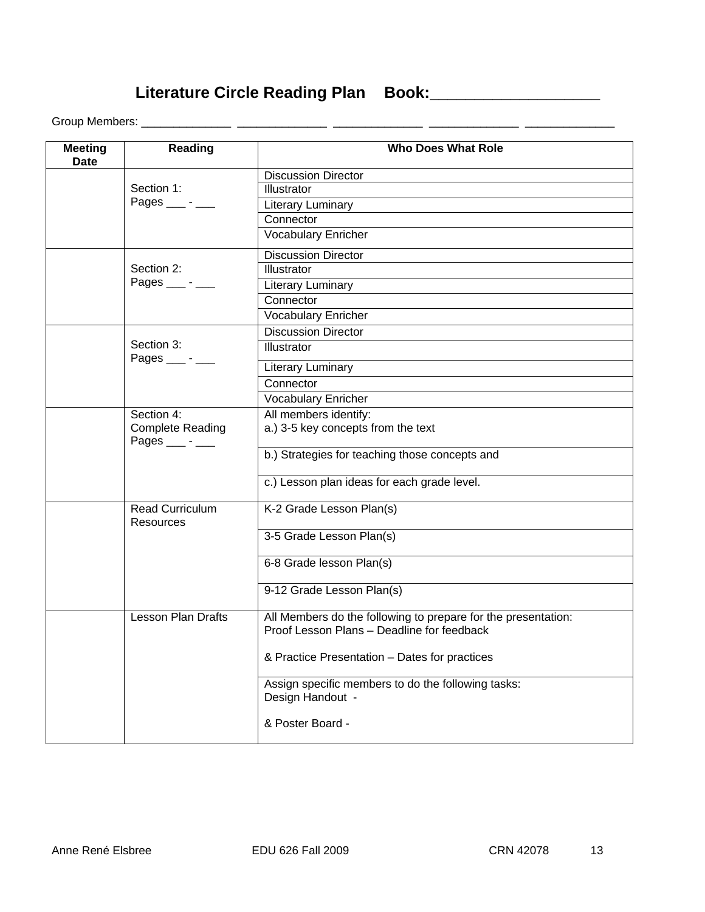**Literature Circle Reading Plan Book:\_\_\_\_\_\_\_\_\_\_\_\_\_\_\_\_\_\_\_** 

Group Members: \_\_\_\_\_\_\_\_\_\_\_\_\_\_ \_\_\_\_\_\_\_\_\_\_\_\_\_\_ \_\_\_\_\_\_\_\_\_\_\_\_\_\_ \_\_\_\_\_\_\_\_\_\_\_\_\_\_ \_\_\_\_\_\_\_\_\_\_\_\_\_\_

| <b>Meeting</b><br><b>Date</b> | Reading                                            | <b>Who Does What Role</b>                                                                                   |
|-------------------------------|----------------------------------------------------|-------------------------------------------------------------------------------------------------------------|
|                               |                                                    | <b>Discussion Director</b>                                                                                  |
|                               | Section 1:                                         | Illustrator                                                                                                 |
|                               | Pages $\_\_$ - $\_\_$                              | Literary Luminary                                                                                           |
|                               |                                                    | Connector                                                                                                   |
|                               |                                                    | Vocabulary Enricher                                                                                         |
|                               |                                                    | <b>Discussion Director</b>                                                                                  |
|                               | Section 2:                                         | <b>Illustrator</b>                                                                                          |
|                               | Pages $\_\_\$ - $\_\_\$                            | Literary Luminary                                                                                           |
|                               |                                                    | Connector                                                                                                   |
|                               |                                                    | <b>Vocabulary Enricher</b>                                                                                  |
|                               |                                                    | <b>Discussion Director</b>                                                                                  |
|                               | Section 3:<br>Pages $\_\_\$ - $\_\_\$              | Illustrator                                                                                                 |
|                               |                                                    | Literary Luminary                                                                                           |
|                               |                                                    | Connector                                                                                                   |
|                               |                                                    | <b>Vocabulary Enricher</b>                                                                                  |
|                               | Section 4:                                         | All members identify:                                                                                       |
|                               | <b>Complete Reading</b><br>Pages $\_\_\$ - $\_\_\$ | a.) 3-5 key concepts from the text                                                                          |
|                               |                                                    | b.) Strategies for teaching those concepts and                                                              |
|                               |                                                    | c.) Lesson plan ideas for each grade level.                                                                 |
|                               | Read Curriculum<br>Resources                       | K-2 Grade Lesson Plan(s)                                                                                    |
|                               |                                                    | 3-5 Grade Lesson Plan(s)                                                                                    |
|                               |                                                    | 6-8 Grade lesson Plan(s)                                                                                    |
|                               |                                                    | 9-12 Grade Lesson Plan(s)                                                                                   |
|                               | <b>Lesson Plan Drafts</b>                          | All Members do the following to prepare for the presentation:<br>Proof Lesson Plans - Deadline for feedback |
|                               |                                                    | & Practice Presentation – Dates for practices                                                               |
|                               |                                                    | Assign specific members to do the following tasks:<br>Design Handout -                                      |
|                               |                                                    | & Poster Board -                                                                                            |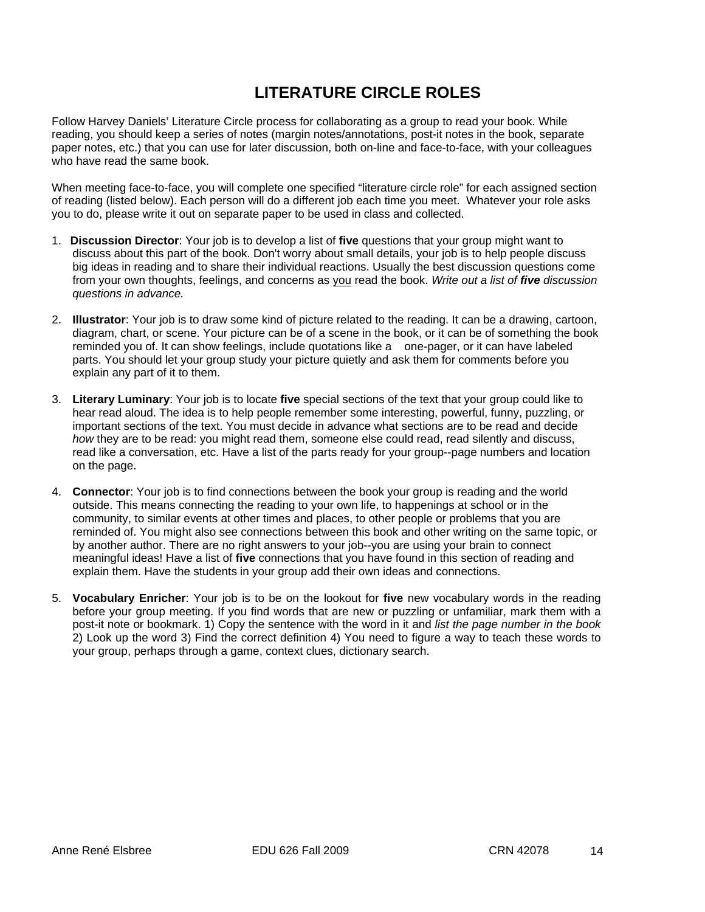# **LITERATURE CIRCLE ROLES**

Follow Harvey Daniels' Literature Circle process for collaborating as a group to read your book. While reading, you should keep a series of notes (margin notes/annotations, post-it notes in the book, separate paper notes, etc.) that you can use for later discussion, both on-line and face-to-face, with your colleagues who have read the same book.

When meeting face-to-face, you will complete one specified "literature circle role" for each assigned section of reading (listed below). Each person will do a different job each time you meet. Whatever your role asks you to do, please write it out on separate paper to be used in class and collected.

- 1. **Discussion Director**: Your job is to develop a list of **five** questions that your group might want to discuss about this part of the book. Don't worry about small details, your job is to help people discuss big ideas in reading and to share their individual reactions. Usually the best discussion questions come from your own thoughts, feelings, and concerns as you read the book. *Write out a list of five discussion questions in advance.*
- reminded you of. It can show feelings, include quotations like a one-pager, or it can have labeled 2. **Illustrator**: Your job is to draw some kind of picture related to the reading. It can be a drawing, cartoon, diagram, chart, or scene. Your picture can be of a scene in the book, or it can be of something the book parts. You should let your group study your picture quietly and ask them for comments before you explain any part of it to them.
- 3. **Literary Luminary**: Your job is to locate **five** special sections of the text that your group could like to hear read aloud. The idea is to help people remember some interesting, powerful, funny, puzzling, or important sections of the text. You must decide in advance what sections are to be read and decide *how* they are to be read: you might read them, someone else could read, read silently and discuss, read like a conversation, etc. Have a list of the parts ready for your group--page numbers and location on the page.
- 4. **Connector**: Your job is to find connections between the book your group is reading and the world outside. This means connecting the reading to your own life, to happenings at school or in the community, to similar events at other times and places, to other people or problems that you are reminded of. You might also see connections between this book and other writing on the same topic, or by another author. There are no right answers to your job--you are using your brain to connect meaningful ideas! Have a list of **five** connections that you have found in this section of reading and explain them. Have the students in your group add their own ideas and connections.
- before your group meeting. If you find words that are new or puzzling or unfamiliar, mark them with a 5. **Vocabulary Enricher**: Your job is to be on the lookout for **five** new vocabulary words in the reading post-it note or bookmark. 1) Copy the sentence with the word in it and *list the page number in the book*  2) Look up the word 3) Find the correct definition 4) You need to figure a way to teach these words to your group, perhaps through a game, context clues, dictionary search.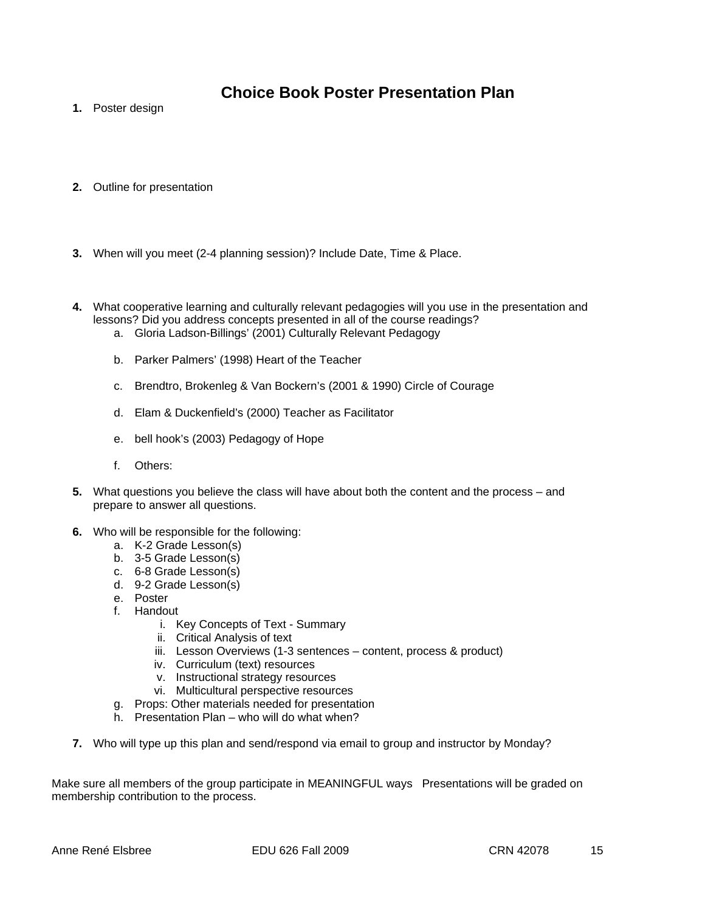# **Choice Book Poster Presentation Plan**

- **1.** Poster design
- **2.** Outline for presentation
- **3.** When will you meet (2-4 planning session)? Include Date, Time & Place.
- **4.** What cooperative learning and culturally relevant pedagogies will you use in the presentation and lessons? Did you address concepts presented in all of the course readings?
	- a. Gloria Ladson-Billings' (2001) Culturally Relevant Pedagogy
	- b. Parker Palmers' (1998) Heart of the Teacher
	- c. Brendtro, Brokenleg & Van Bockern's (2001 & 1990) Circle of Courage
	- d. Elam & Duckenfield's (2000) Teacher as Facilitator
	- e. bell hook's (2003) Pedagogy of Hope
	- f. Others:
- **5.** What questions you believe the class will have about both the content and the process and prepare to answer all questions.
- **6.** Who will be responsible for the following:
	- a. K-2 Grade Lesson(s)
	- b. 3-5 Grade Lesson(s)
	- c. 6-8 Grade Lesson(s)
	- d. 9-2 Grade Lesson(s)
	- e. Poster
	- f. Handout
		- i. Key Concepts of Text Summary
		- ii. Critical Analysis of text
		- iii. Lesson Overviews (1-3 sentences content, process & product)
		- iv. Curriculum (text) resources
		- v. Instructional strategy resources
		- vi. Multicultural perspective resources
	- g. Props: Other materials needed for presentation
	- h. Presentation Plan who will do what when?
- **7.** Who will type up this plan and send/respond via email to group and instructor by Monday?

Make sure all members of the group participate in MEANINGFUL ways Presentations will be graded on membership contribution to the process.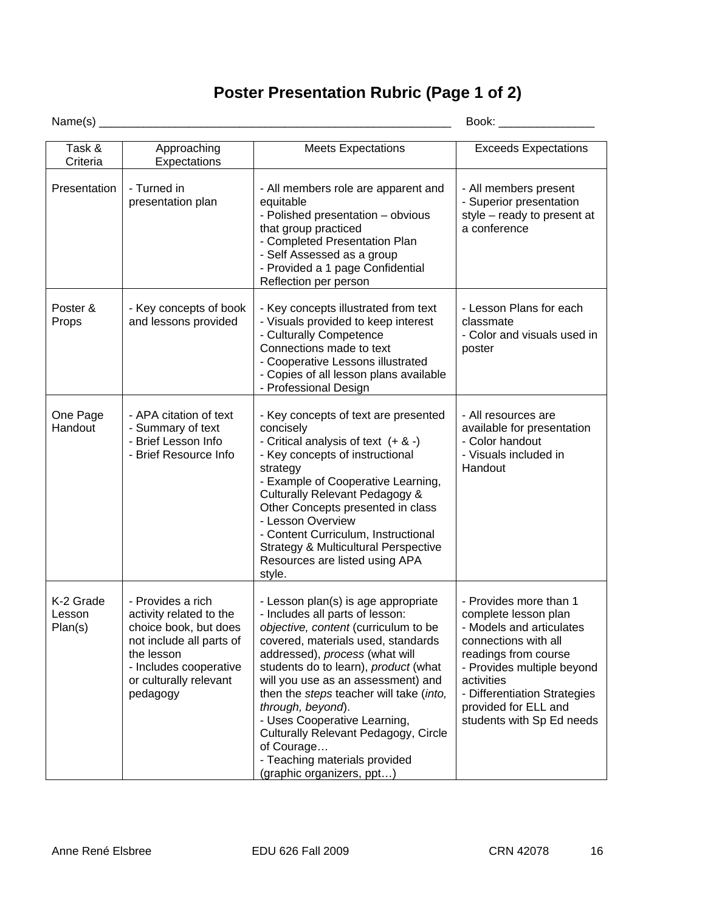# **Poster Presentation Rubric (Page 1 of 2)**

Name(s) \_\_\_\_\_\_\_\_\_\_\_\_\_\_\_\_\_\_\_\_\_\_\_\_\_\_\_\_\_\_\_\_\_\_\_\_\_\_\_\_\_\_\_\_\_\_\_\_\_\_\_\_\_\_\_ Book: \_\_\_\_\_\_\_\_\_\_\_\_\_\_\_

| Task &<br>Criteria             | Approaching<br>Expectations                                                                                                                                                     | <b>Meets Expectations</b>                                                                                                                                                                                                                                                                                                                                                                                                                                                                | <b>Exceeds Expectations</b>                                                                                                                                                                                                                                 |
|--------------------------------|---------------------------------------------------------------------------------------------------------------------------------------------------------------------------------|------------------------------------------------------------------------------------------------------------------------------------------------------------------------------------------------------------------------------------------------------------------------------------------------------------------------------------------------------------------------------------------------------------------------------------------------------------------------------------------|-------------------------------------------------------------------------------------------------------------------------------------------------------------------------------------------------------------------------------------------------------------|
| Presentation                   | - Turned in<br>presentation plan                                                                                                                                                | - All members role are apparent and<br>equitable<br>- Polished presentation - obvious<br>that group practiced<br>- Completed Presentation Plan<br>- Self Assessed as a group<br>- Provided a 1 page Confidential<br>Reflection per person                                                                                                                                                                                                                                                | - All members present<br>- Superior presentation<br>style - ready to present at<br>a conference                                                                                                                                                             |
| Poster &<br>Props              | - Key concepts of book<br>and lessons provided                                                                                                                                  | - Key concepts illustrated from text<br>- Visuals provided to keep interest<br>- Culturally Competence<br>Connections made to text<br>- Cooperative Lessons illustrated<br>- Copies of all lesson plans available<br>- Professional Design                                                                                                                                                                                                                                               | - Lesson Plans for each<br>classmate<br>- Color and visuals used in<br>poster                                                                                                                                                                               |
| One Page<br>Handout            | - APA citation of text<br>- Summary of text<br>- Brief Lesson Info<br>- Brief Resource Info                                                                                     | - Key concepts of text are presented<br>concisely<br>- Critical analysis of text $(+ 8 -)$<br>- Key concepts of instructional<br>strategy<br>- Example of Cooperative Learning,<br>Culturally Relevant Pedagogy &<br>Other Concepts presented in class<br>- Lesson Overview<br>- Content Curriculum, Instructional<br><b>Strategy &amp; Multicultural Perspective</b><br>Resources are listed using APA<br>style.                                                                        | - All resources are<br>available for presentation<br>- Color handout<br>- Visuals included in<br>Handout                                                                                                                                                    |
| K-2 Grade<br>Lesson<br>Plan(s) | - Provides a rich<br>activity related to the<br>choice book, but does<br>not include all parts of<br>the lesson<br>- Includes cooperative<br>or culturally relevant<br>pedagogy | - Lesson plan(s) is age appropriate<br>- Includes all parts of lesson:<br>objective, content (curriculum to be<br>covered, materials used, standards<br>addressed), process (what will<br>students do to learn), product (what<br>will you use as an assessment) and<br>then the steps teacher will take (into,<br>through, beyond).<br>- Uses Cooperative Learning,<br>Culturally Relevant Pedagogy, Circle<br>of Courage<br>- Teaching materials provided<br>(graphic organizers, ppt) | - Provides more than 1<br>complete lesson plan<br>- Models and articulates<br>connections with all<br>readings from course<br>- Provides multiple beyond<br>activities<br>- Differentiation Strategies<br>provided for ELL and<br>students with Sp Ed needs |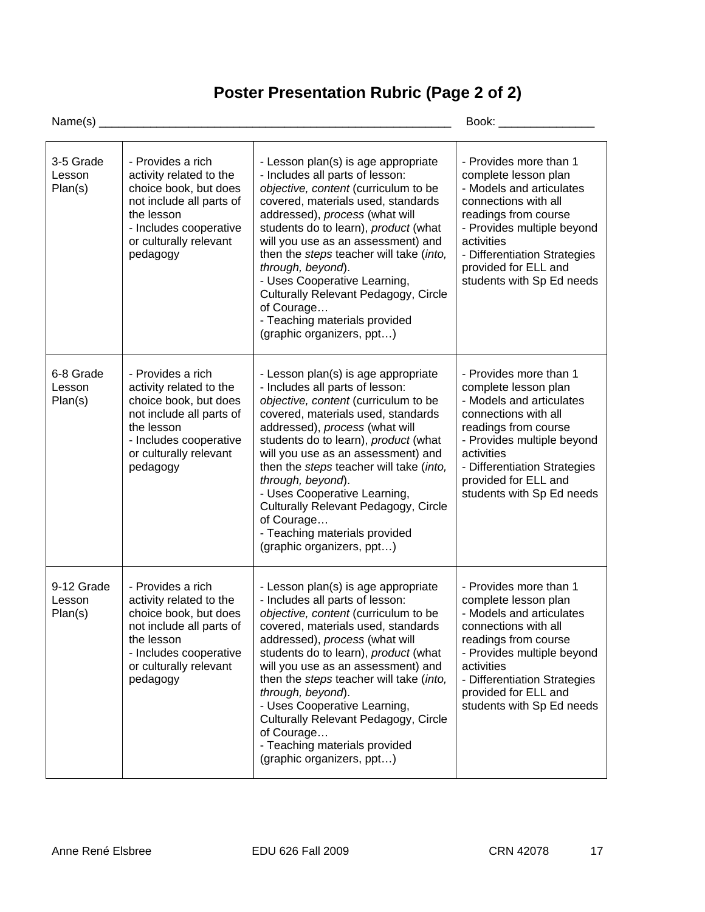# **Poster Presentation Rubric (Page 2 of 2)**

Name(s) \_\_\_\_\_\_\_\_\_\_\_\_\_\_\_\_\_\_\_\_\_\_\_\_\_\_\_\_\_\_\_\_\_\_\_\_\_\_\_\_\_\_\_\_\_\_\_\_\_\_\_\_\_\_\_ Book: \_\_\_\_\_\_\_\_\_\_\_\_\_\_\_

| 3-5 Grade<br>Lesson<br>Plan(s)  | - Provides a rich<br>activity related to the<br>choice book, but does<br>not include all parts of<br>the lesson<br>- Includes cooperative<br>or culturally relevant<br>pedagogy | - Lesson plan(s) is age appropriate<br>- Includes all parts of lesson:<br>objective, content (curriculum to be<br>covered, materials used, standards<br>addressed), process (what will<br>students do to learn), product (what<br>will you use as an assessment) and<br>then the steps teacher will take (into,<br>through, beyond).<br>- Uses Cooperative Learning,<br>Culturally Relevant Pedagogy, Circle<br>of Courage<br>- Teaching materials provided                                     | - Provides more than 1<br>complete lesson plan<br>- Models and articulates<br>connections with all<br>readings from course<br>- Provides multiple beyond<br>activities<br>- Differentiation Strategies<br>provided for ELL and<br>students with Sp Ed needs |
|---------------------------------|---------------------------------------------------------------------------------------------------------------------------------------------------------------------------------|-------------------------------------------------------------------------------------------------------------------------------------------------------------------------------------------------------------------------------------------------------------------------------------------------------------------------------------------------------------------------------------------------------------------------------------------------------------------------------------------------|-------------------------------------------------------------------------------------------------------------------------------------------------------------------------------------------------------------------------------------------------------------|
| 6-8 Grade<br>Lesson<br>Plan(s)  | - Provides a rich<br>activity related to the<br>choice book, but does<br>not include all parts of                                                                               | (graphic organizers, ppt)<br>- Lesson plan(s) is age appropriate<br>- Includes all parts of lesson:<br>objective, content (curriculum to be<br>covered, materials used, standards                                                                                                                                                                                                                                                                                                               | - Provides more than 1<br>complete lesson plan<br>- Models and articulates<br>connections with all                                                                                                                                                          |
|                                 | the lesson<br>- Includes cooperative<br>or culturally relevant<br>pedagogy                                                                                                      | addressed), process (what will<br>students do to learn), product (what<br>will you use as an assessment) and<br>then the steps teacher will take (into,<br>through, beyond).<br>- Uses Cooperative Learning,<br>Culturally Relevant Pedagogy, Circle<br>of Courage<br>- Teaching materials provided<br>(graphic organizers, ppt)                                                                                                                                                                | readings from course<br>- Provides multiple beyond<br>activities<br>- Differentiation Strategies<br>provided for ELL and<br>students with Sp Ed needs                                                                                                       |
| 9-12 Grade<br>Lesson<br>Plan(s) | - Provides a rich<br>activity related to the<br>choice book, but does<br>not include all parts of<br>the lesson<br>- Includes cooperative<br>or culturally relevant<br>pedagogy | - Lesson plan(s) is age appropriate<br>- Includes all parts of lesson:<br>objective, content (curriculum to be<br>covered, materials used, standards<br>addressed), process (what will<br>students do to learn), product (what<br>will you use as an assessment) and<br>then the steps teacher will take (into,<br>through, beyond).<br>- Uses Cooperative Learning,<br><b>Culturally Relevant Pedagogy, Circle</b><br>of Courage<br>- Teaching materials provided<br>(graphic organizers, ppt) | - Provides more than 1<br>complete lesson plan<br>- Models and articulates<br>connections with all<br>readings from course<br>- Provides multiple beyond<br>activities<br>- Differentiation Strategies<br>provided for ELL and<br>students with Sp Ed needs |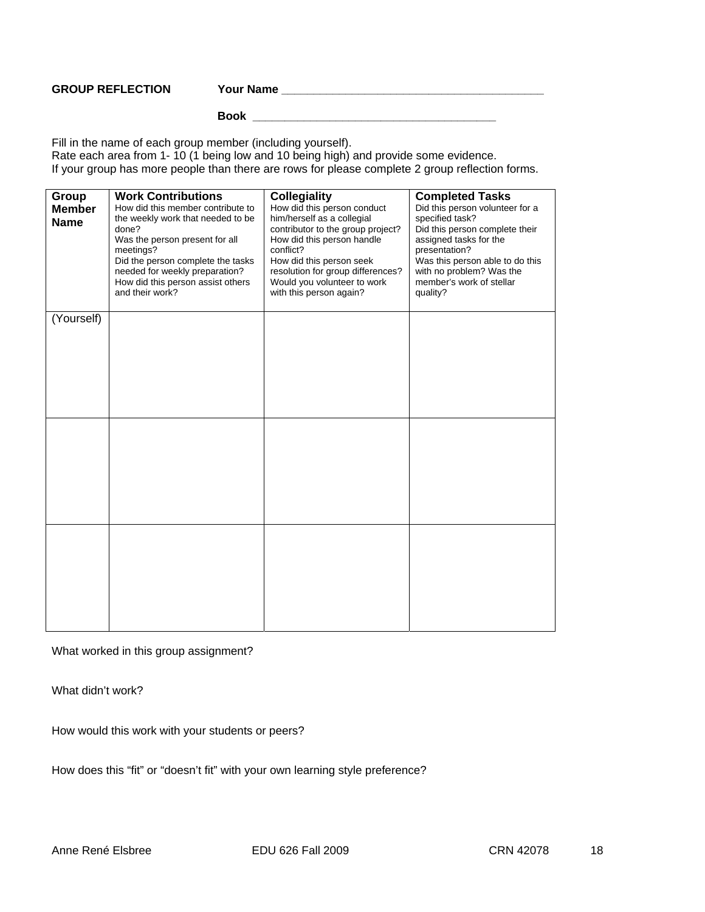*GROUP REFLECTION* 

**GROUP REFLECTION Your Name \_\_\_\_\_\_\_\_\_\_\_\_\_\_\_\_\_\_\_\_\_\_\_\_\_\_\_\_\_\_\_\_\_\_\_\_\_\_\_\_\_**

 **Book \_\_\_\_\_\_\_\_\_\_\_\_\_\_\_\_\_\_\_\_\_\_\_\_\_\_\_\_\_\_\_\_\_\_\_\_\_\_** 

Fill in the name of each group member (including yourself). Rate each area from 1- 10 (1 being low and 10 being high) and provide some evidence. If your group has more people than there are rows for please complete 2 group reflection forms.

| Group<br><b>Member</b><br><b>Name</b> | <b>Work Contributions</b><br>How did this member contribute to<br>the weekly work that needed to be<br>done?<br>Was the person present for all<br>meetings?<br>Did the person complete the tasks<br>needed for weekly preparation?<br>How did this person assist others<br>and their work? | <b>Collegiality</b><br>How did this person conduct<br>him/herself as a collegial<br>contributor to the group project?<br>How did this person handle<br>conflict?<br>How did this person seek<br>resolution for group differences?<br>Would you volunteer to work<br>with this person again? | <b>Completed Tasks</b><br>Did this person volunteer for a<br>specified task?<br>Did this person complete their<br>assigned tasks for the<br>presentation?<br>Was this person able to do this<br>with no problem? Was the<br>member's work of stellar<br>quality? |
|---------------------------------------|--------------------------------------------------------------------------------------------------------------------------------------------------------------------------------------------------------------------------------------------------------------------------------------------|---------------------------------------------------------------------------------------------------------------------------------------------------------------------------------------------------------------------------------------------------------------------------------------------|------------------------------------------------------------------------------------------------------------------------------------------------------------------------------------------------------------------------------------------------------------------|
| (Yourself)                            |                                                                                                                                                                                                                                                                                            |                                                                                                                                                                                                                                                                                             |                                                                                                                                                                                                                                                                  |
|                                       |                                                                                                                                                                                                                                                                                            |                                                                                                                                                                                                                                                                                             |                                                                                                                                                                                                                                                                  |
|                                       |                                                                                                                                                                                                                                                                                            |                                                                                                                                                                                                                                                                                             |                                                                                                                                                                                                                                                                  |
|                                       |                                                                                                                                                                                                                                                                                            |                                                                                                                                                                                                                                                                                             |                                                                                                                                                                                                                                                                  |
|                                       |                                                                                                                                                                                                                                                                                            |                                                                                                                                                                                                                                                                                             |                                                                                                                                                                                                                                                                  |
|                                       |                                                                                                                                                                                                                                                                                            |                                                                                                                                                                                                                                                                                             |                                                                                                                                                                                                                                                                  |
|                                       |                                                                                                                                                                                                                                                                                            |                                                                                                                                                                                                                                                                                             |                                                                                                                                                                                                                                                                  |
|                                       |                                                                                                                                                                                                                                                                                            |                                                                                                                                                                                                                                                                                             |                                                                                                                                                                                                                                                                  |
|                                       |                                                                                                                                                                                                                                                                                            |                                                                                                                                                                                                                                                                                             |                                                                                                                                                                                                                                                                  |
|                                       |                                                                                                                                                                                                                                                                                            |                                                                                                                                                                                                                                                                                             |                                                                                                                                                                                                                                                                  |
|                                       |                                                                                                                                                                                                                                                                                            |                                                                                                                                                                                                                                                                                             |                                                                                                                                                                                                                                                                  |
|                                       |                                                                                                                                                                                                                                                                                            |                                                                                                                                                                                                                                                                                             |                                                                                                                                                                                                                                                                  |
|                                       |                                                                                                                                                                                                                                                                                            |                                                                                                                                                                                                                                                                                             |                                                                                                                                                                                                                                                                  |
|                                       |                                                                                                                                                                                                                                                                                            |                                                                                                                                                                                                                                                                                             |                                                                                                                                                                                                                                                                  |
|                                       |                                                                                                                                                                                                                                                                                            |                                                                                                                                                                                                                                                                                             |                                                                                                                                                                                                                                                                  |
|                                       |                                                                                                                                                                                                                                                                                            |                                                                                                                                                                                                                                                                                             |                                                                                                                                                                                                                                                                  |
|                                       |                                                                                                                                                                                                                                                                                            |                                                                                                                                                                                                                                                                                             |                                                                                                                                                                                                                                                                  |

What worked in this group assignment?

What didn't work?

How would this work with your students or peers?

How does this "fit" or "doesn't fit" with your own learning style preference?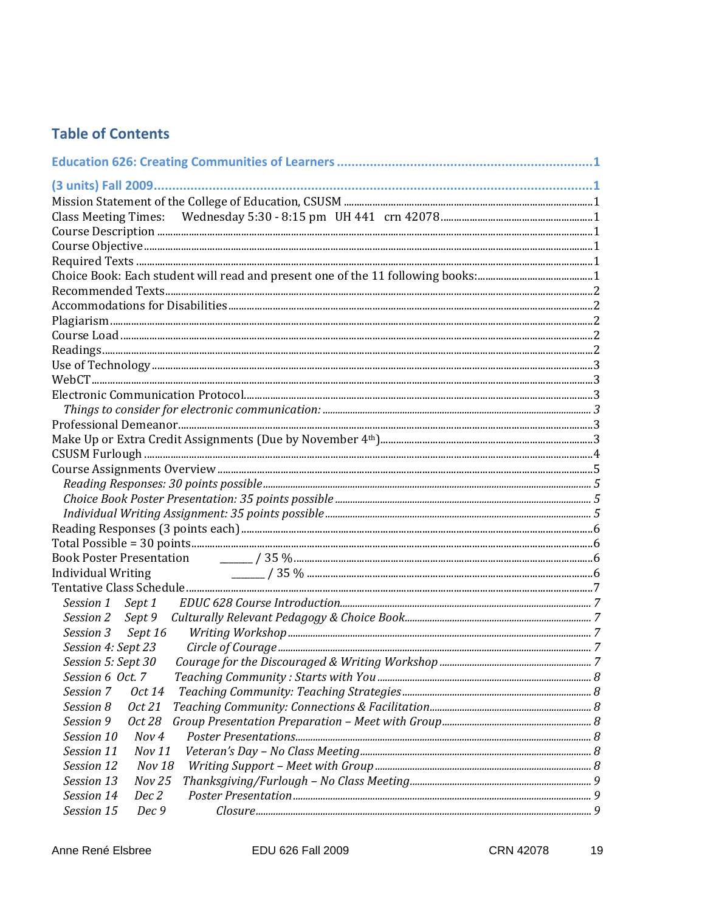# **Table of Contents**

| <b>Individual Writing</b>   |  |
|-----------------------------|--|
|                             |  |
| Session 1 Sept 1            |  |
| Session 2 Sept 9            |  |
| Sept 16<br>Session 3        |  |
| Session 4: Sept 23          |  |
| Session 5: Sept 30          |  |
| Session 6 Oct. 7            |  |
| Session 7<br><i>Oct</i> 14  |  |
| Session 8<br>Oct 21         |  |
| Session 9<br>Oct 28         |  |
| Session 10<br>Nov 4         |  |
| Session 11<br>Nov 11        |  |
| Session 12<br><b>Nov 18</b> |  |
| Session 13<br><b>Nov 25</b> |  |
| Session 14<br>Dec 2         |  |
| Session 15<br>Dec 9         |  |